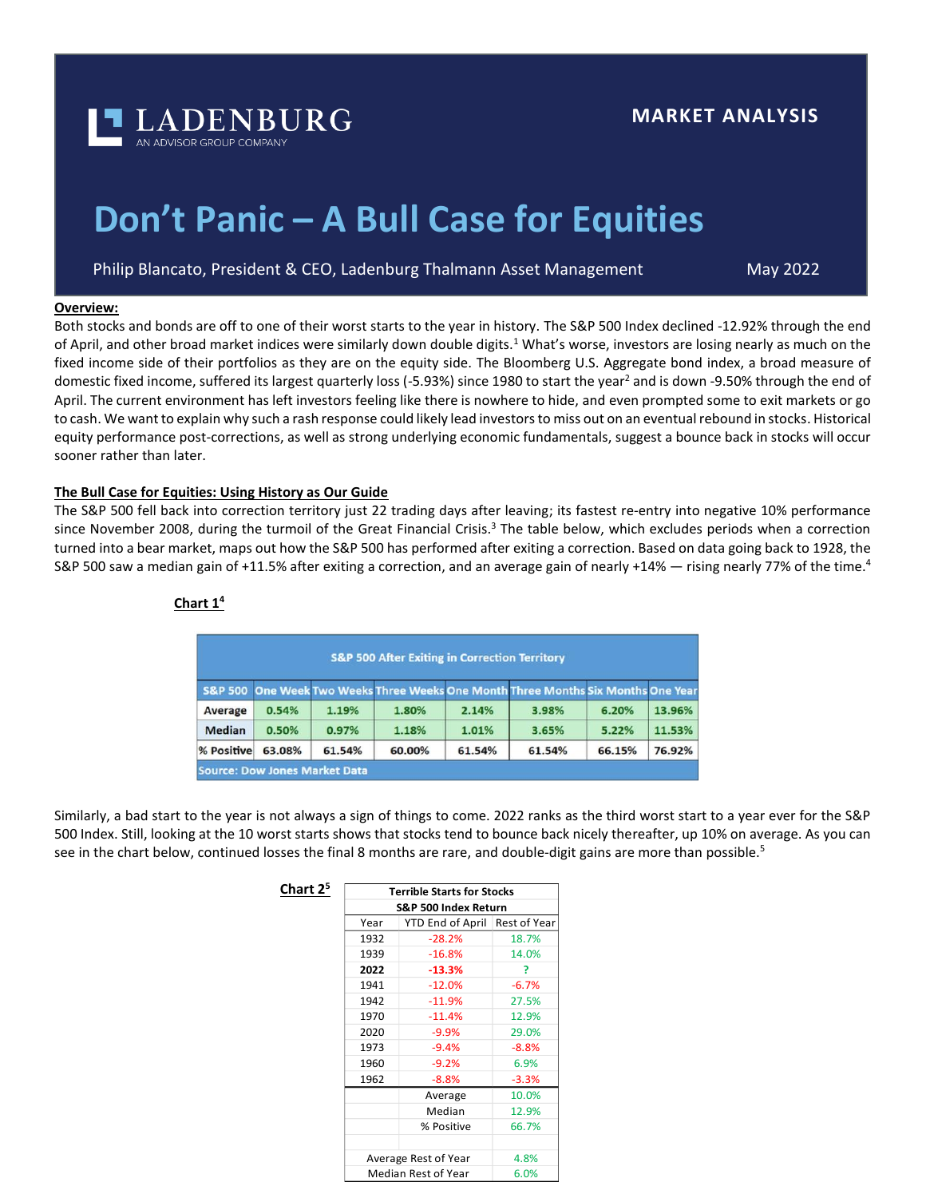

# **Don't Panic – A Bull Case for Equities**

Philip Blancato, President & CEO, Ladenburg Thalmann Asset Management

May 2022

# **Overview:**

Both stocks and bonds are off to one of their worst starts to the year in history. The S&P 500 Index declined -12.92% through the end of April, and other broad market indices were similarly down double digits.<sup>1</sup> What's worse, investors are losing nearly as much on the fixed income side of their portfolios as they are on the equity side. The Bloomberg U.S. Aggregate bond index, a broad measure of domestic fixed income, suffered its largest quarterly loss (-5.93%) since 1980 to start the year<sup>2</sup> and is down -9.50% through the end of April. The current environment has left investors feeling like there is nowhere to hide, and even prompted some to exit markets or go to cash. We want to explain why such a rash response could likely lead investors to miss out on an eventual rebound in stocks. Historical equity performance post-corrections, as well as strong underlying economic fundamentals, suggest a bounce back in stocks will occur sooner rather than later.

# **The Bull Case for Equities: Using History as Our Guide**

**Chart 2<sup>5</sup>**

The S&P 500 fell back into correction territory just 22 trading days after leaving; its fastest re-entry into negative 10% performance since November 2008, during the turmoil of the Great Financial Crisis.<sup>3</sup> The table below, which excludes periods when a correction turned into a bear market, maps out how the S&P 500 has performed after exiting a correction. Based on data going back to 1928, the S&P 500 saw a median gain of +11.5% after exiting a correction, and an average gain of nearly +14% — rising nearly 77% of the time.<sup>4</sup>

| <b>S&amp;P 500 After Exiting in Correction Territory</b> |        |        |        |        |                                                                                   |        |        |  |  |
|----------------------------------------------------------|--------|--------|--------|--------|-----------------------------------------------------------------------------------|--------|--------|--|--|
|                                                          |        |        |        |        | S&P 500 One Week Two Weeks Three Weeks One Month Three Months Six Months One Year |        |        |  |  |
| Average                                                  | 0.54%  | 1.19%  | 1.80%  | 2.14%  | 3.98%                                                                             | 6.20%  | 13.96% |  |  |
| <b>Median</b>                                            | 0.50%  | 0.97%  | 1.18%  | 1.01%  | 3.65%                                                                             | 5.22%  | 11.53% |  |  |
| % Positive                                               | 63.08% | 61.54% | 60.00% | 61.54% | 61.54%                                                                            | 66.15% | 76.92% |  |  |
| <b>Source: Dow Jones Market Data</b>                     |        |        |        |        |                                                                                   |        |        |  |  |

## **Chart 1<sup>4</sup>**

Similarly, a bad start to the year is not always a sign of things to come. 2022 ranks as the third worst start to a year ever for the S&P 500 Index. Still, looking at the 10 worst starts shows that stocks tend to bounce back nicely thereafter, up 10% on average. As you can see in the chart below, continued losses the final 8 months are rare, and double-digit gains are more than possible.<sup>5</sup>

| 25 | <b>Terrible Starts for Stocks</b> |                  |              |  |  |  |  |
|----|-----------------------------------|------------------|--------------|--|--|--|--|
|    | S&P 500 Index Return              |                  |              |  |  |  |  |
|    | Year                              | YTD End of April | Rest of Year |  |  |  |  |
|    | 1932                              | $-28.2%$         | 18.7%        |  |  |  |  |
|    | 1939                              | $-16.8%$         | 14.0%        |  |  |  |  |
|    | 2022                              | $-13.3%$         | ?            |  |  |  |  |
|    | 1941                              | $-12.0%$         | $-6.7%$      |  |  |  |  |
|    | 1942                              | $-11.9%$         | 27.5%        |  |  |  |  |
|    | 1970                              | -11.4%           | 12.9%        |  |  |  |  |
|    | 2020                              | $-9.9%$          | 29.0%        |  |  |  |  |
|    | 1973                              | $-9.4%$          | $-8.8%$      |  |  |  |  |
|    | 1960                              | $-9.2%$          | 6.9%         |  |  |  |  |
|    | 1962                              | $-8.8%$          | $-3.3%$      |  |  |  |  |
|    |                                   | Average          | 10.0%        |  |  |  |  |
|    |                                   | Median           | 12.9%        |  |  |  |  |
|    |                                   | % Positive       | 66.7%        |  |  |  |  |
|    |                                   |                  |              |  |  |  |  |
|    | Average Rest of Year              | 4.8%             |              |  |  |  |  |
|    | Median Rest of Year               | 6.0%             |              |  |  |  |  |